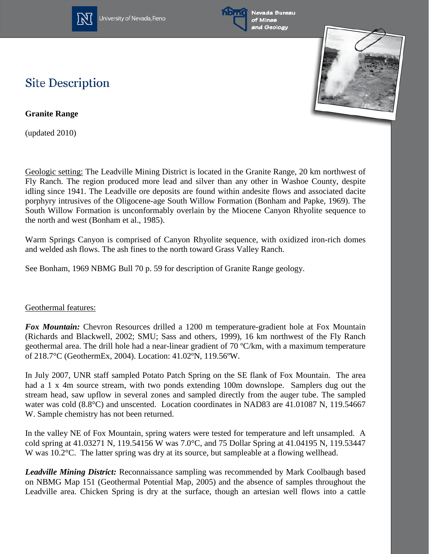

University of Nevada, Reno



## **Site Description**

**Granite Range**

(updated 2010)

Geologic setting: The Leadville Mining District is located in the Granite Range, 20 km northwest of Fly Ranch. The region produced more lead and silver than any other in Washoe County, despite idling since 1941. The Leadville ore deposits are found within andesite flows and associated dacite porphyry intrusives of the Oligocene-age South Willow Formation (Bonham and Papke, 1969). The South Willow Formation is unconformably overlain by the Miocene Canyon Rhyolite sequence to the north and west (Bonham et al., 1985).

Warm Springs Canyon is comprised of Canyon Rhyolite sequence, with oxidized iron-rich domes and welded ash flows. The ash fines to the north toward Grass Valley Ranch.

See Bonham, 1969 NBMG Bull 70 p. 59 for description of Granite Range geology.

## Geothermal features:

*Fox Mountain:* Chevron Resources drilled a 1200 m temperature-gradient hole at Fox Mountain (Richards and Blackwell, 2002; SMU; Sass and others, 1999), 16 km northwest of the Fly Ranch geothermal area. The drill hole had a near-linear gradient of 70 ºC/km, with a maximum temperature of 218.7°C (GeothermEx, 2004). Location: 41.02ºN, 119.56ºW.

In July 2007, UNR staff sampled Potato Patch Spring on the SE flank of Fox Mountain. The area had a 1 x 4m source stream, with two ponds extending 100m downslope. Samplers dug out the stream head, saw upflow in several zones and sampled directly from the auger tube. The sampled water was cold (8.8°C) and unscented. Location coordinates in NAD83 are 41.01087 N, 119.54667 W. Sample chemistry has not been returned.

In the valley NE of Fox Mountain, spring waters were tested for temperature and left unsampled. A cold spring at 41.03271 N, 119.54156 W was 7.0°C, and 75 Dollar Spring at 41.04195 N, 119.53447 W was 10.2°C. The latter spring was dry at its source, but sampleable at a flowing wellhead.

*Leadville Mining District:* Reconnaissance sampling was recommended by Mark Coolbaugh based on NBMG Map 151 (Geothermal Potential Map, 2005) and the absence of samples throughout the Leadville area. Chicken Spring is dry at the surface, though an artesian well flows into a cattle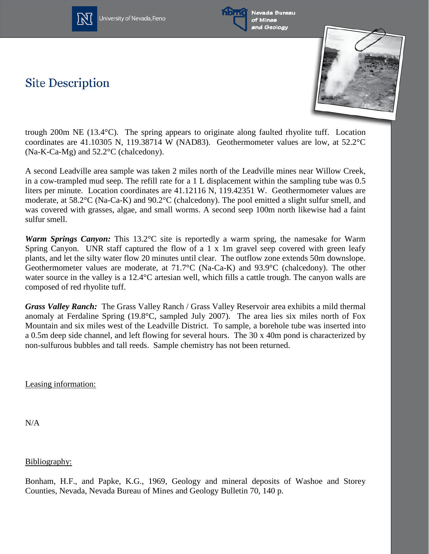

University of Nevada, Reno



Nevada Bureau of Mines and Geology

## **Site Description**



trough 200m NE (13.4°C). The spring appears to originate along faulted rhyolite tuff. Location coordinates are 41.10305 N, 119.38714 W (NAD83). Geothermometer values are low, at 52.2°C (Na-K-Ca-Mg) and 52.2°C (chalcedony).

A second Leadville area sample was taken 2 miles north of the Leadville mines near Willow Creek, in a cow-trampled mud seep. The refill rate for a 1 L displacement within the sampling tube was 0.5 liters per minute. Location coordinates are 41.12116 N, 119.42351 W. Geothermometer values are moderate, at 58.2°C (Na-Ca-K) and 90.2°C (chalcedony). The pool emitted a slight sulfur smell, and was covered with grasses, algae, and small worms. A second seep 100m north likewise had a faint sulfur smell.

*Warm Springs Canyon:* This 13.2°C site is reportedly a warm spring, the namesake for Warm Spring Canyon. UNR staff captured the flow of a 1 x 1m gravel seep covered with green leafy plants, and let the silty water flow 20 minutes until clear. The outflow zone extends 50m downslope. Geothermometer values are moderate, at 71.7°C (Na-Ca-K) and 93.9°C (chalcedony). The other water source in the valley is a 12.4°C artesian well, which fills a cattle trough. The canyon walls are composed of red rhyolite tuff.

*Grass Valley Ranch:* The Grass Valley Ranch / Grass Valley Reservoir area exhibits a mild thermal anomaly at Ferdaline Spring (19.8°C, sampled July 2007). The area lies six miles north of Fox Mountain and six miles west of the Leadville District. To sample, a borehole tube was inserted into a 0.5m deep side channel, and left flowing for several hours. The 30 x 40m pond is characterized by non-sulfurous bubbles and tall reeds. Sample chemistry has not been returned.

Leasing information:

N/A

Bibliography:

Bonham, H.F., and Papke, K.G., 1969, Geology and mineral deposits of Washoe and Storey Counties, Nevada, Nevada Bureau of Mines and Geology Bulletin 70, 140 p.